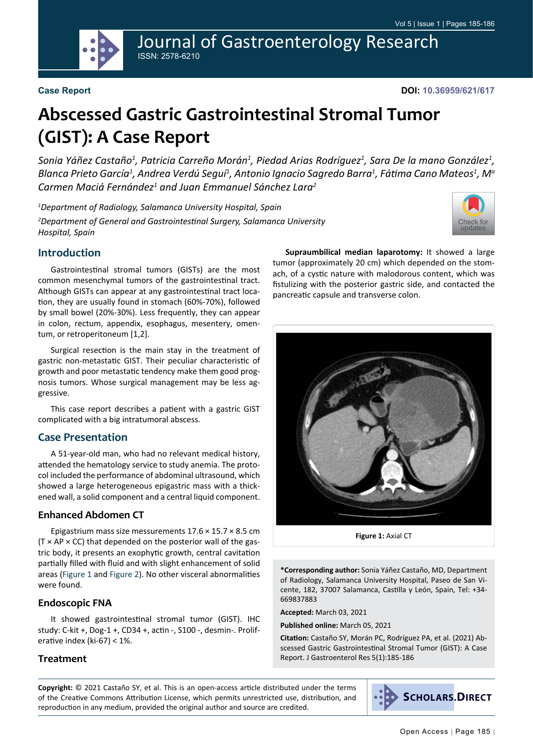

Journal of Gastroenterology Research ISSN: 2578-6210

#### **Case Report**

**DOI: 10.36959/621/617**

# **Abscessed Gastric Gastrointestinal Stromal Tumor (GIST): A Case Report**

*Sonia Yáñez Castaño1 , Patricia Carreño Morán1 , Piedad Arias Rodríguez1 , Sara De la mano González1 ,*  Blanca Prieto García<sup>1</sup>, Andrea Verdú Seguí<sup>1</sup>, Antonio Ignacio Sagredo Barra<sup>1</sup>, Fátima Cano Mateos<sup>1</sup>, Mª *Carmen Maciá Fernández1 and Juan Emmanuel Sánchez Lara2*

*1 Department of Radiology, Salamanca University Hospital, Spain 2 Department of General and Gastrointestinal Surgery, Salamanca University Hospital, Spain*



### **Introduction**

Gastrointestinal stromal tumors (GISTs) are the most common mesenchymal tumors of the gastrointestinal tract. Although GISTs can appear at any gastrointestinal tract location, they are usually found in stomach (60%-70%), followed by small bowel (20%-30%). Less frequently, they can appear in colon, rectum, appendix, esophagus, mesentery, omentum, or retroperitoneum [1,2].

Surgical resection is the main stay in the treatment of gastric non-metastatic GIST. Their peculiar characteristic of growth and poor metastatic tendency make them good prognosis tumors. Whose surgical management may be less aggressive.

This case report describes a patient with a gastric GIST complicated with a big intratumoral abscess.

#### **Case Presentation**

A 51-year-old man, who had no relevant medical history, attended the hematology service to study anemia. The protocol included the performance of abdominal ultrasound, which showed a large heterogeneous epigastric mass with a thickened wall, a solid component and a central liquid component.

#### **Enhanced Abdomen CT**

Epigastrium mass size messurements 17.6 × 15.7 × 8.5 cm  $(T \times AP \times CC)$  that depended on the posterior wall of the gastric body, it presents an exophytic growth, central cavitation partially filled with fluid and with slight enhancement of solid areas ([Figure 1](#page-0-0) and [Figure 2](#page-1-0)). No other visceral abnormalities were found.

#### **Endoscopic FNA**

It showed gastrointestinal stromal tumor (GIST). IHC study: C-kit +, Dog-1 +, CD34 +, actin -, S100 -, desmin-. Proliferative index (ki-67) < 1%.

#### **Treatment**

**Supraumbilical median laparotomy:** It showed a large tumor (approximately 20 cm) which depended on the stomach, of a cystic nature with malodorous content, which was fistulizing with the posterior gastric side, and contacted the pancreatic capsule and transverse colon.

<span id="page-0-0"></span>

**Figure 1:** Axial CT

**\*Corresponding author:** Sonia Yáñez Castaño, MD, Department of Radiology, Salamanca University Hospital, Paseo de San Vicente, 182, 37007 Salamanca, Castilla y León, Spain, Tel: +34- 669837883

**Accepted:** March 03, 2021

**Published online:** March 05, 2021

**Citation:** Castaño SY, Morán PC, Rodríguez PA, et al. (2021) Abscessed Gastric Gastrointestinal Stromal Tumor (GIST): A Case Report. J Gastroenterol Res 5(1):185-186

**Copyright:** © 2021 Castaño SY, et al. This is an open-access article distributed under the terms of the Creative Commons Attribution License, which permits unrestricted use, distribution, and reproduction in any medium, provided the original author and source are credited.